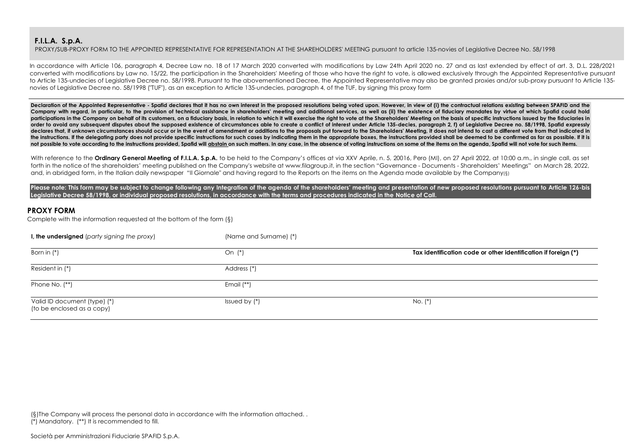PROXY/SUB-PROXY FORM TO THE APPOINTED REPRESENTATIVE FOR REPRESENTATION AT THE SHAREHOLDERS' MEETING pursuant to article 135-novies of Legislative Decree No. 58/1998

In accordance with Article 106, paragraph 4, Decree Law no. 18 of 17 March 2020 converted with modifications by Law 24th April 2020 no. 27 and as last extended by effect of art. 3, D.L. 228/2021 converted with modifications by Law no. 15/22, the participation in the Shareholders' Meeting of those who have the right to vote, is allowed exclusively through the Appointed Representative pursuant to Article 135-undecies of Legislative Decree no. 58/1998. Pursuant to the abovementioned Decree, the Appointed Representative may also be granted proxies and/or sub-proxy pursuant to Article 135novies of Legislative Decree no. 58/1998 ("TUF"), as an exception to Article 135-undecies, paragraph 4, of the TUF, by signing this proxy form

Declaration of the Appointed Representative - Spafid declares that it has no own interest in the proposed resolutions being voted upon. However, in view of (i) the contractual relations existing between SPAFID and the Company with regard, in particular, to the provision of technical assistance in shareholders' meeting and additional services, as well as (ii) the existence of fiduciary mandates by virtue of which Spafid could hold participations in the Company on behalf of its customers, on a fiduciary basis, in relation to which it will exercise the right to vote at the Shareholders' Meeting on the basis of specific instructions issued by the fiduc **order to avoid any subsequent disputes about the supposed existence of circumstances able to create a conflict of interest under Article 135-decies, paragraph 2, f) of Legislative Decree no. 58/1998, Spafid expressly**  declares that, if unknown circumstances should occur or in the event of amendment or additions to the proposals put forward to the Shareholders' Meeting, it does not intend to cast a different vote from that indicated in the instructions. If the delegating party does not provide specific instructions for such cases by indicating them in the appropriate boxes, the instructions provided shall be deemed to be confirmed as far as possible. If not possible to vote according to the instructions provided. Spafid will abstain on such matters. In any case, in the absence of voting instructions on some of the items on the agenda. Spafid will not yote for such items.

With reference to the **Ordinary General Meeting of F.I.L.A. S.p.A.** to be held to the Company's offices at via XXV Aprile, n. 5, 20016, Pero (MI), on 27 April 2022, at 10:00 a.m., in single call, as set forth in the notice of the shareholders' meeting published on the Company's website at www.filagroup.it, in the section "Governance - Documents - Shareholders' Meetings" on March 28, 2022, and, in abridged form, in the Italian daily newspaper "Il Giornale" and having regard to the Reports on the items on the Agenda made available by the Company(§)

**Please note: This form may be subject to change following any Integration of the agenda of the shareholders' meeting and presentation of new proposed resolutions pursuant to Article 126-bis Legislative Decree 58/1998, or individual proposed resolutions, in accordance with the terms and procedures indicated in the Notice of Call.**

# **PROXY FORM**

Complete with the information requested at the bottom of the form (§)

| I, the undersigned (party signing the proxy)               | (Name and Surname) (*) |                                                                |
|------------------------------------------------------------|------------------------|----------------------------------------------------------------|
| Born in $(*)$                                              | On $(*)$               | Tax identification code or other identification if foreign (*) |
| Resident in (*)                                            | Address (*)            |                                                                |
| Phone No. (**)                                             | Email $(**)$           |                                                                |
| Valid ID document (type) (*)<br>(to be enclosed as a copy) | Issued by $(*)$        | No. (*)                                                        |

(§)The Company will process the personal data in accordance with the information attached. . (\*) Mandatory. (\*\*) It is recommended to fill.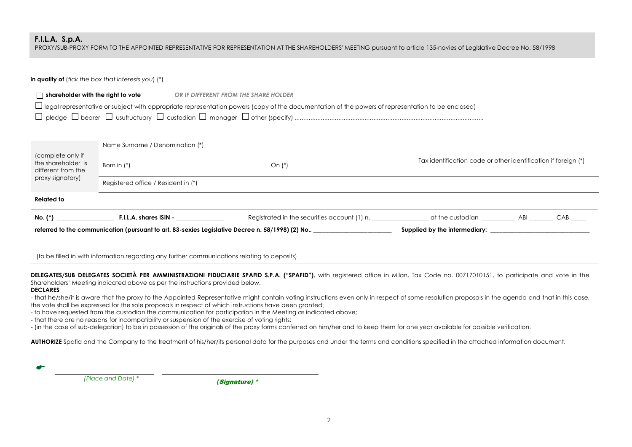PROXY/SUB-PROXY FORM TO THE APPOINTED REPRESENTATIVE FOR REPRESENTATION AT THE SHAREHOLDERS' MEETING pursuant to article 135-novies of Legislative Decree No. 58/1998

| in quality of (fick the box that interests you) $(*)$         |                                                                                                 |                                                                                                                                                                                                   |                                                                |  |  |  |  |
|---------------------------------------------------------------|-------------------------------------------------------------------------------------------------|---------------------------------------------------------------------------------------------------------------------------------------------------------------------------------------------------|----------------------------------------------------------------|--|--|--|--|
| $\Box$ shareholder with the right to vote                     |                                                                                                 | OR IF DIFFERENT FROM THE SHARE HOLDER<br>$\Box$ legal representative or subject with appropriate representation powers (copy of the documentation of the powers of representation to be enclosed) |                                                                |  |  |  |  |
|                                                               | Name Surname / Denomination (*)                                                                 |                                                                                                                                                                                                   |                                                                |  |  |  |  |
| (complete only if<br>the shareholder is<br>different from the | Born in $(*)$                                                                                   | On $(*)$                                                                                                                                                                                          | Tax identification code or other identification if foreign (*) |  |  |  |  |
| proxy signatory)<br>Registered office / Resident in (*)       |                                                                                                 |                                                                                                                                                                                                   |                                                                |  |  |  |  |
| <b>Related to</b>                                             |                                                                                                 |                                                                                                                                                                                                   |                                                                |  |  |  |  |
| No. (*)                                                       | F.I.L.A. shares ISIN -                                                                          |                                                                                                                                                                                                   |                                                                |  |  |  |  |
|                                                               | referred to the communication (pursuant to art. 83-sexies Legislative Decree n. 58/1998) (2) No |                                                                                                                                                                                                   |                                                                |  |  |  |  |

(to be filled in with information regarding any further communications relating to deposits)

**DELEGATES/SUB DELEGATES SOCIETÀ PER AMMINISTRAZIONI FIDUCIARIE SPAFID S.P.A. ("SPAFID")**, with registered office in Milan, Tax Code no. 00717010151, to participate and vote in the Shareholders' Meeting indicated above as per the instructions provided below.

#### **DECLARES**

- that he/she/it is aware that the proxy to the Appointed Representative might contain voting instructions even only in respect of some resolution proposals in the agenda and that in this case, the vote shall be expressed for the sole proposals in respect of which instructions have been granted;

- to have requested from the custodian the communication for participation in the Meeting as indicated above;

- that there are no reasons for incompatibility or suspension of the exercise of voting rights;

- (in the case of sub-delegation) to be in possession of the originals of the proxy forms conferred on him/her and to keep them for one year available for possible verification.

AUTHORIZE Spafid and the Company to the treatment of his/her/its personal data for the purposes and under the terms and conditions specified in the attached information document.

| $\bullet$ |                    |  |
|-----------|--------------------|--|
|           | (Place and Date) * |  |

 *(Place and Date) \* (*Signature) \*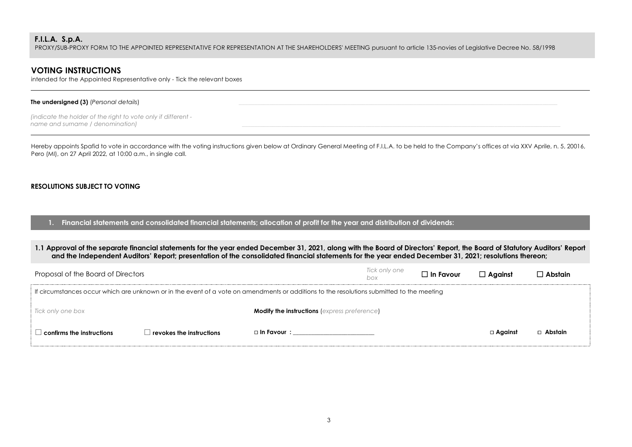PROXY/SUB-PROXY FORM TO THE APPOINTED REPRESENTATIVE FOR REPRESENTATION AT THE SHAREHOLDERS' MEETING pursuant to article 135-novies of Legislative Decree No. 58/1998

# **VOTING INSTRUCTIONS**

intended for the Appointed Representative only - Tick the relevant boxes

#### **The undersigned (3)** *(Personal details)*

*(indicate the holder of the right to vote only if different name and surname / denomination)* 

Hereby appoints Spafid to vote in accordance with the voting instructions given below at Ordinary General Meeting of F.I.L.A. to be held to the Company's offices at via XXV Aprile, n. 5, 20016, Pero (MI), on 27 April 2022, at 10:00 a.m., in single call.

## **RESOLUTIONS SUBJECT TO VOTING**

**1. Financial statements and consolidated financial statements; allocation of profit for the year and distribution of dividends:**

**1.1 Approval of the separate financial statements for the year ended December 31, 2021, along with the Board of Directors' Report, the Board of Statutory Auditors' Report and the Independent Auditors' Report; presentation of the consolidated financial statements for the year ended December 31, 2021; resolutions thereon;**

| Proposal of the Board of Directors        |                                 |                                                                                                                                           | Tick only one<br>box | $\Box$ In Favour | $\Box$ Against | $\Box$ Abstain |
|-------------------------------------------|---------------------------------|-------------------------------------------------------------------------------------------------------------------------------------------|----------------------|------------------|----------------|----------------|
|                                           |                                 | If circumstances occur which are unknown or in the event of a vote on amendments or additions to the resolutions submitted to the meeting |                      |                  |                |                |
| Tick only one box                         |                                 | <b>Modify the instructions (express preference)</b>                                                                                       |                      |                  |                |                |
| $\perp$ confirms the instructions $\perp$ | $\Box$ revokes the instructions | □ In Favour :                                                                                                                             |                      |                  | $\Box$ Against | $\Box$ Abstain |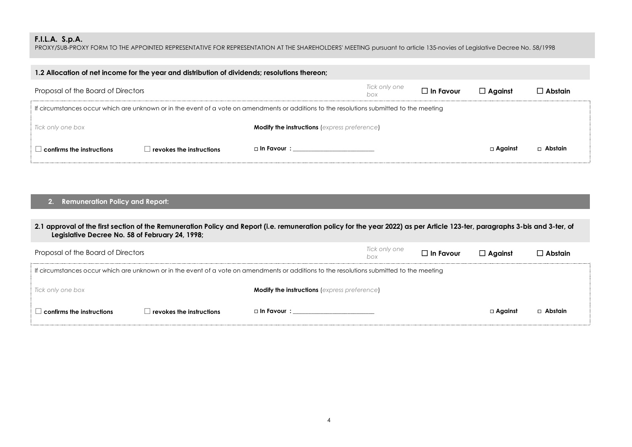PROXY/SUB-PROXY FORM TO THE APPOINTED REPRESENTATIVE FOR REPRESENTATION AT THE SHAREHOLDERS' MEETING pursuant to article 135-novies of Legislative Decree No. 58/1998

| 1.2 Allocation of net income for the year and distribution of dividends; resolutions thereon;                 |                                                                                                                                           |                           |  |  |           |           |  |  |
|---------------------------------------------------------------------------------------------------------------|-------------------------------------------------------------------------------------------------------------------------------------------|---------------------------|--|--|-----------|-----------|--|--|
| Tick only one<br>$\Box$ In Favour<br>Proposal of the Board of Directors<br>$\Box$ Against<br>  Abstain<br>hox |                                                                                                                                           |                           |  |  |           |           |  |  |
|                                                                                                               | If circumstances occur which are unknown or in the event of a vote on amendments or additions to the resolutions submitted to the meeting |                           |  |  |           |           |  |  |
| Tick only one box<br><b>Modify the instructions</b> (express preference)                                      |                                                                                                                                           |                           |  |  |           |           |  |  |
| confirms the instructions                                                                                     | revokes the instructions                                                                                                                  | $\Box$ In Favour $\colon$ |  |  | □ Aaainst | □ Abstain |  |  |

# **2. Remuneration Policy and Report:**

| 2.1 approval of the first section of the Remuneration Policy and Report (i.e. remuneration policy for the year 2022) as per Article 123-ter, paragraphs 3-bis and 3-ter, of<br>Legislative Decree No. 58 of February 24, 1998; |                                  |                                                                                                                                           |                      |                  |                |                |  |
|--------------------------------------------------------------------------------------------------------------------------------------------------------------------------------------------------------------------------------|----------------------------------|-------------------------------------------------------------------------------------------------------------------------------------------|----------------------|------------------|----------------|----------------|--|
| Proposal of the Board of Directors                                                                                                                                                                                             |                                  |                                                                                                                                           | Tick only one<br>box | $\Box$ In Favour | $\Box$ Aaainst | $\Box$ Abstain |  |
|                                                                                                                                                                                                                                |                                  | If circumstances occur which are unknown or in the event of a vote on amendments or additions to the resolutions submitted to the meeting |                      |                  |                |                |  |
| Tick only one box                                                                                                                                                                                                              |                                  | <b>Modify the instructions</b> (express preference)                                                                                       |                      |                  |                |                |  |
| $\mid$ confirms the instructions                                                                                                                                                                                               | $\vert$ revokes the instructions |                                                                                                                                           |                      |                  | □ Aaainst      | □ Abstain      |  |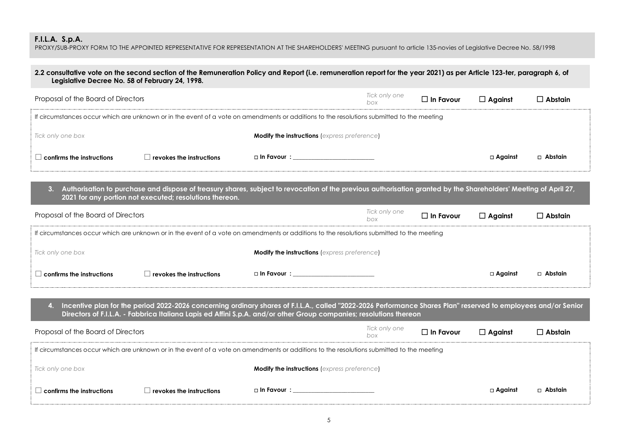PROXY/SUB-PROXY FORM TO THE APPOINTED REPRESENTATIVE FOR REPRESENTATION AT THE SHAREHOLDERS' MEETING pursuant to article 135-novies of Legislative Decree No. 58/1998

| Legislative Decree No. 58 of February 24, 1998. |                                                         | 2.2 consultative vote on the second section of the Remuneration Policy and Report (i.e. remuneration report for the year 2021) as per Article 123-ter, paragraph 6, of                                                                                                               |                      |                  |                   |                |
|-------------------------------------------------|---------------------------------------------------------|--------------------------------------------------------------------------------------------------------------------------------------------------------------------------------------------------------------------------------------------------------------------------------------|----------------------|------------------|-------------------|----------------|
| Proposal of the Board of Directors              |                                                         |                                                                                                                                                                                                                                                                                      | Tick only one<br>box | $\Box$ In Favour | $\Box$ Against    | $\Box$ Abstain |
|                                                 |                                                         | If circumstances occur which are unknown or in the event of a vote on amendments or additions to the resolutions submitted to the meeting                                                                                                                                            |                      |                  |                   |                |
| Tick only one box                               |                                                         | <b>Modify the instructions (express preference)</b>                                                                                                                                                                                                                                  |                      |                  |                   |                |
| $\Box$ confirms the instructions                | $\Box$ revokes the instructions                         | □ In Favour :___________________________                                                                                                                                                                                                                                             |                      |                  | □ Against         | □ Abstain      |
| 3.                                              | 2021 for any portion not executed; resolutions thereon. | Authorisation to purchase and dispose of treasury shares, subject to revocation of the previous authorisation granted by the Shareholders' Meeting of April 27,                                                                                                                      |                      |                  |                   |                |
| Proposal of the Board of Directors              |                                                         |                                                                                                                                                                                                                                                                                      | Tick only one<br>box | $\Box$ In Favour | $\Box$ Against    | $\Box$ Abstain |
|                                                 |                                                         | If circumstances occur which are unknown or in the event of a vote on amendments or additions to the resolutions submitted to the meeting                                                                                                                                            |                      |                  |                   |                |
| Tick only one box                               |                                                         | <b>Modify the instructions (express preference)</b>                                                                                                                                                                                                                                  |                      |                  |                   |                |
| $\Box$ confirms the instructions                | $\Box$ revokes the instructions                         | □ In Favour : __________________________                                                                                                                                                                                                                                             |                      |                  | $\square$ Against | $\Box$ Abstain |
| 4.                                              |                                                         | Incentive plan for the period 2022-2026 concerning ordinary shares of F.I.L.A., called "2022-2026 Performance Shares Plan" reserved to employees and/or Senior<br>Directors of F.I.L.A. - Fabbrica Italiana Lapis ed Affini S.p.A. and/or other Group companies; resolutions thereon |                      |                  |                   |                |
| Proposal of the Board of Directors              |                                                         |                                                                                                                                                                                                                                                                                      | Tick only one<br>box | $\Box$ In Favour | $\Box$ Against    | $\Box$ Abstain |
|                                                 |                                                         | If circumstances occur which are unknown or in the event of a vote on amendments or additions to the resolutions submitted to the meeting                                                                                                                                            |                      |                  |                   |                |
| Tick only one box                               |                                                         | <b>Modify the instructions (express preference)</b>                                                                                                                                                                                                                                  |                      |                  |                   |                |
| $\Box$ confirms the instructions                | $\Box$ revokes the instructions                         | $\Box$ In Favour $\colon$                                                                                                                                                                                                                                                            |                      |                  | □ Against         | □ Abstain      |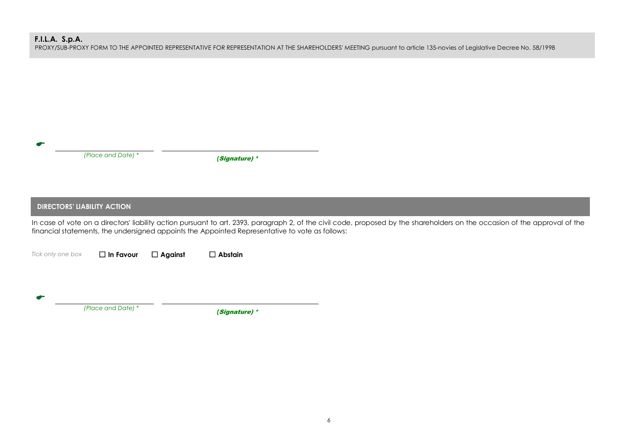PROXY/SUB-PROXY FORM TO THE APPOINTED REPRESENTATIVE FOR REPRESENTATION AT THE SHAREHOLDERS' MEETING pursuant to article 135-novies of Legislative Decree No. 58/1998

|                                    | (Place and Date) * |                | (Signature) *                                                                                   |                                                                                                                                                                             |  |
|------------------------------------|--------------------|----------------|-------------------------------------------------------------------------------------------------|-----------------------------------------------------------------------------------------------------------------------------------------------------------------------------|--|
|                                    |                    |                |                                                                                                 |                                                                                                                                                                             |  |
|                                    |                    |                |                                                                                                 |                                                                                                                                                                             |  |
| <b>DIRECTORS' LIABILITY ACTION</b> |                    |                |                                                                                                 |                                                                                                                                                                             |  |
|                                    |                    |                | financial statements, the undersigned appoints the Appointed Representative to vote as follows: | In case of vote on a directors' liability action pursuant to art. 2393, paragraph 2, of the civil code, proposed by the shareholders on the occasion of the approval of the |  |
| Tick only one box                  | $\Box$ In Favour   | $\Box$ Against | $\Box$ Abstain                                                                                  |                                                                                                                                                                             |  |
|                                    |                    |                |                                                                                                 |                                                                                                                                                                             |  |
|                                    |                    |                |                                                                                                 |                                                                                                                                                                             |  |
|                                    | (Place and Date) * |                | (Signature) *                                                                                   |                                                                                                                                                                             |  |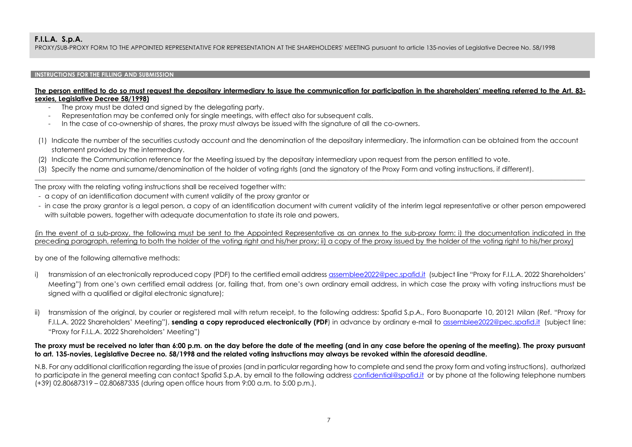PROXY/SUB-PROXY FORM TO THE APPOINTED REPRESENTATIVE FOR REPRESENTATION AT THE SHAREHOLDERS' MEETING pursuant to article 135-novies of Legislative Decree No. 58/1998

## **INSTRUCTIONS FOR THE FILLING AND SUBMISSION**

### **The person entitled to do so must request the depositary intermediary to issue the communication for participation in the shareholders' meeting referred to the Art. 83 sexies, Legislative Decree 58/1998)**

- The proxy must be dated and signed by the delegating party.
- Representation may be conferred only for single meetings, with effect also for subsequent calls.
- In the case of co-ownership of shares, the proxy must always be issued with the signature of all the co-owners.
- (1) Indicate the number of the securities custody account and the denomination of the depositary intermediary. The information can be obtained from the account statement provided by the intermediary.

\_\_\_\_\_\_\_\_\_\_\_\_\_\_\_\_\_\_\_\_\_\_\_\_\_\_\_\_\_\_\_\_\_\_\_\_\_\_\_\_\_\_\_\_\_\_\_\_\_\_\_\_\_\_\_\_\_\_\_\_\_\_\_\_\_\_\_\_\_\_\_\_\_\_\_\_\_\_\_\_\_\_\_\_\_\_\_\_\_\_\_\_\_\_\_\_\_\_\_\_\_\_\_\_\_\_\_\_\_\_\_\_\_\_\_\_\_\_\_\_\_\_\_\_\_\_\_\_\_\_\_\_\_\_\_\_\_\_\_\_\_\_\_\_\_\_\_\_\_\_\_\_\_\_\_\_\_\_\_\_\_\_\_

- (2) Indicate the Communication reference for the Meeting issued by the depositary intermediary upon request from the person entitled to vote.
- (3) Specify the name and surname/denomination of the holder of voting rights (and the signatory of the Proxy Form and voting instructions, if different).

The proxy with the relating voting instructions shall be received together with:

- a copy of an identification document with current validity of the proxy grantor or
- in case the proxy grantor is a legal person, a copy of an identification document with current validity of the interim legal representative or other person empowered with suitable powers, together with adequate documentation to state its role and powers,

(in the event of a sub-proxy, the following must be sent to the Appointed Representative as an annex to the sub-proxy form: i) the documentation indicated in the preceding paragraph, referring to both the holder of the voting right and his/her proxy; ii) a copy of the proxy issued by the holder of the voting right to his/her proxy)

by one of the following alternative methods:

- i) transmission of an electronically reproduced copy (PDF) to the certified email address assemblee2022@pec.spafid.it (subject line "Proxy for F.I.L.A. 2022 Shareholders' Meeting") from one's own certified email address (or, failing that, from one's own ordinary email address, in which case the proxy with voting instructions must be signed with a qualified or digital electronic signature);
- transmission of the original, by courier or registered mail with return receipt, to the following address: Spafid S.p.A., Foro Buonaparte 10, 20121 Milan (Ref. "Proxy for F.I.L.A. 2022 Shareholders' Meeting"), **sending a copy reproduced electronically (PDF**) in advance by ordinary e-mail to assemblee2022@pec.spafid.it (subject line: "Proxy for F.I.L.A. 2022 Shareholders' Meeting")

## **The proxy must be received no later than 6:00 p.m. on the day before the date of the meeting (and in any case before the opening of the meeting). The proxy pursuant to art. 135-novies, Legislative Decree no. 58/1998 and the related voting instructions may always be revoked within the aforesaid deadline.**

N.B. For any additional clarification regarding the issue of proxies (and in particular regarding how to complete and send the proxy form and voting instructions), authorized to participate in the general meeting can contact Spafid S.p.A. by email to the following address confidential@spafid.it or by phone at the following telephone numbers (+39) 02.80687319 – 02.80687335 (during open office hours from 9:00 a.m. to 5:00 p.m.).